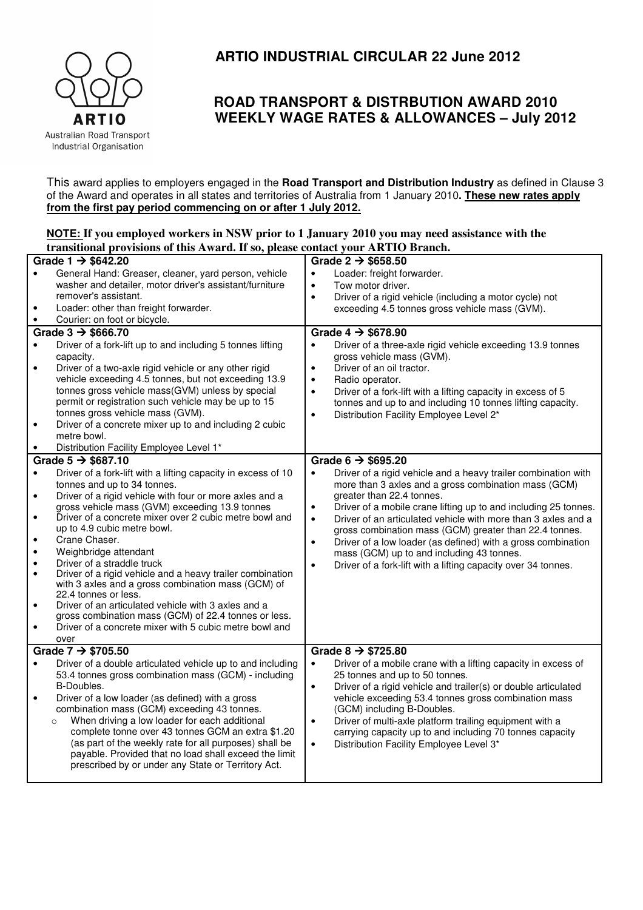

## **ARTIO INDUSTRIAL CIRCULAR 22 June 2012**

## **ROAD TRANSPORT & DISTRBUTION AWARD 2010 WEEKLY WAGE RATES & ALLOWANCES – July 2012**

This award applies to employers engaged in the **Road Transport and Distribution Industry** as defined in Clause 3 of the Award and operates in all states and territories of Australia from 1 January 2010**. These new rates apply from the first pay period commencing on or after 1 July 2012.**

## **NOTE: If you employed workers in NSW prior to 1 January 2010 you may need assistance with the transitional provisions of this Award. If so, please contact your ARTIO Branch.**

| Grade 1 $\rightarrow$ \$642.20 |                                                                                                                 | Grade 2 $\rightarrow$ \$658.50                                               |  |  |  |
|--------------------------------|-----------------------------------------------------------------------------------------------------------------|------------------------------------------------------------------------------|--|--|--|
|                                | General Hand: Greaser, cleaner, yard person, vehicle                                                            | Loader: freight forwarder.<br>$\bullet$                                      |  |  |  |
|                                | washer and detailer, motor driver's assistant/furniture                                                         | Tow motor driver.<br>$\bullet$                                               |  |  |  |
|                                | remover's assistant.                                                                                            | Driver of a rigid vehicle (including a motor cycle) not<br>$\bullet$         |  |  |  |
| $\bullet$                      | Loader: other than freight forwarder.                                                                           | exceeding 4.5 tonnes gross vehicle mass (GVM).                               |  |  |  |
| $\bullet$                      | Courier: on foot or bicycle.                                                                                    |                                                                              |  |  |  |
|                                | Grade $3 \rightarrow$ \$666.70                                                                                  | Grade $4 \rightarrow $678.90$                                                |  |  |  |
| $\bullet$                      | Driver of a fork-lift up to and including 5 tonnes lifting                                                      | Driver of a three-axle rigid vehicle exceeding 13.9 tonnes                   |  |  |  |
|                                | capacity.                                                                                                       | gross vehicle mass (GVM).                                                    |  |  |  |
| $\bullet$                      | Driver of a two-axle rigid vehicle or any other rigid                                                           | Driver of an oil tractor.<br>$\bullet$                                       |  |  |  |
|                                | vehicle exceeding 4.5 tonnes, but not exceeding 13.9                                                            | Radio operator.<br>$\bullet$                                                 |  |  |  |
|                                | tonnes gross vehicle mass(GVM) unless by special                                                                | Driver of a fork-lift with a lifting capacity in excess of 5<br>$\bullet$    |  |  |  |
|                                | permit or registration such vehicle may be up to 15                                                             | tonnes and up to and including 10 tonnes lifting capacity.                   |  |  |  |
|                                | tonnes gross vehicle mass (GVM).                                                                                | Distribution Facility Employee Level 2*<br>$\bullet$                         |  |  |  |
| $\bullet$                      | Driver of a concrete mixer up to and including 2 cubic                                                          |                                                                              |  |  |  |
|                                | metre bowl.                                                                                                     |                                                                              |  |  |  |
|                                | Distribution Facility Employee Level 1*                                                                         |                                                                              |  |  |  |
|                                | Grade $5 \rightarrow $687.10$                                                                                   | Grade $6 \rightarrow $695.20$                                                |  |  |  |
| $\bullet$                      | Driver of a fork-lift with a lifting capacity in excess of 10                                                   | Driver of a rigid vehicle and a heavy trailer combination with<br>$\bullet$  |  |  |  |
|                                | tonnes and up to 34 tonnes.                                                                                     | more than 3 axles and a gross combination mass (GCM)                         |  |  |  |
| $\bullet$                      | Driver of a rigid vehicle with four or more axles and a                                                         | greater than 22.4 tonnes.                                                    |  |  |  |
|                                | gross vehicle mass (GVM) exceeding 13.9 tonnes<br>Driver of a concrete mixer over 2 cubic metre bowl and        | Driver of a mobile crane lifting up to and including 25 tonnes.<br>$\bullet$ |  |  |  |
| $\bullet$                      | up to 4.9 cubic metre bowl.                                                                                     | Driver of an articulated vehicle with more than 3 axles and a<br>$\bullet$   |  |  |  |
| $\bullet$                      | Crane Chaser.                                                                                                   | gross combination mass (GCM) greater than 22.4 tonnes.                       |  |  |  |
| $\bullet$                      | Weighbridge attendant                                                                                           | Driver of a low loader (as defined) with a gross combination<br>$\bullet$    |  |  |  |
| $\bullet$                      | Driver of a straddle truck                                                                                      | mass (GCM) up to and including 43 tonnes.                                    |  |  |  |
| $\bullet$                      | Driver of a rigid vehicle and a heavy trailer combination                                                       | Driver of a fork-lift with a lifting capacity over 34 tonnes.<br>$\bullet$   |  |  |  |
|                                | with 3 axles and a gross combination mass (GCM) of                                                              |                                                                              |  |  |  |
|                                | 22.4 tonnes or less.                                                                                            |                                                                              |  |  |  |
| $\bullet$                      | Driver of an articulated vehicle with 3 axles and a                                                             |                                                                              |  |  |  |
|                                | gross combination mass (GCM) of 22.4 tonnes or less.                                                            |                                                                              |  |  |  |
| $\bullet$                      | Driver of a concrete mixer with 5 cubic metre bowl and                                                          |                                                                              |  |  |  |
|                                | over                                                                                                            |                                                                              |  |  |  |
|                                | Grade $7 \rightarrow $705.50$                                                                                   | Grade $8 \rightarrow $725.80$                                                |  |  |  |
| $\bullet$                      | Driver of a double articulated vehicle up to and including                                                      | Driver of a mobile crane with a lifting capacity in excess of<br>$\bullet$   |  |  |  |
|                                | 53.4 tonnes gross combination mass (GCM) - including                                                            | 25 tonnes and up to 50 tonnes.                                               |  |  |  |
|                                | B-Doubles.                                                                                                      | Driver of a rigid vehicle and trailer(s) or double articulated<br>$\bullet$  |  |  |  |
| $\bullet$                      | Driver of a low loader (as defined) with a gross                                                                | vehicle exceeding 53.4 tonnes gross combination mass                         |  |  |  |
|                                | combination mass (GCM) exceeding 43 tonnes.                                                                     | (GCM) including B-Doubles.                                                   |  |  |  |
|                                | When driving a low loader for each additional<br>$\circ$                                                        | Driver of multi-axle platform trailing equipment with a<br>$\bullet$         |  |  |  |
|                                | complete tonne over 43 tonnes GCM an extra \$1.20                                                               | carrying capacity up to and including 70 tonnes capacity                     |  |  |  |
|                                | (as part of the weekly rate for all purposes) shall be<br>payable. Provided that no load shall exceed the limit | Distribution Facility Employee Level 3*<br>$\bullet$                         |  |  |  |
|                                | prescribed by or under any State or Territory Act.                                                              |                                                                              |  |  |  |
|                                |                                                                                                                 |                                                                              |  |  |  |